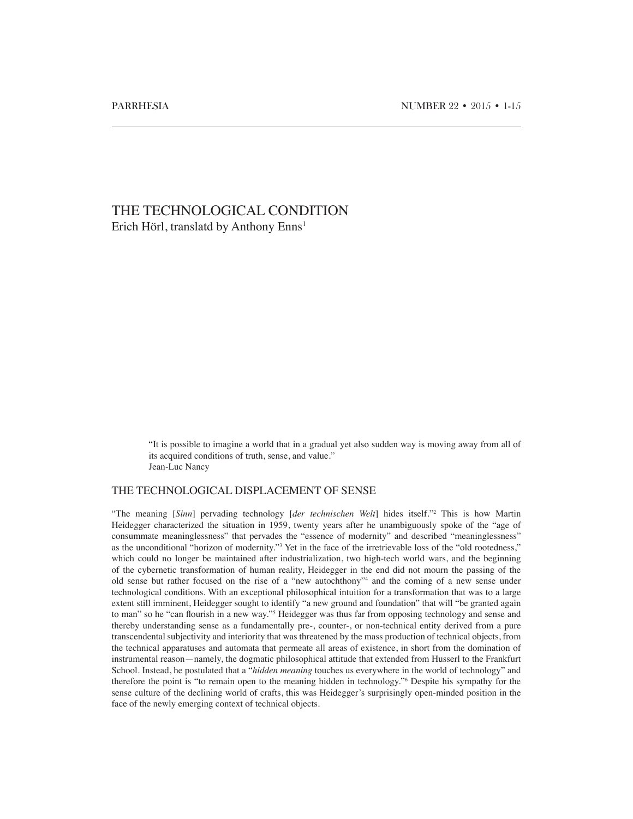# THE TECHNOLOGICAL CONDITION Erich Hörl, translatd by Anthony Enns<sup>1</sup>

"It is possible to imagine a world that in a gradual yet also sudden way is moving away from all of its acquired conditions of truth, sense, and value." Jean-Luc Nancy

# THE TECHNOLOGICAL DISPLACEMENT OF SENSE

"The meaning [*Sinn*] pervading technology [*der technischen Welt*] hides itself."2 This is how Martin Heidegger characterized the situation in 1959, twenty years after he unambiguously spoke of the "age of consummate meaninglessness" that pervades the "essence of modernity" and described "meaninglessness" as the unconditional "horizon of modernity."3 Yet in the face of the irretrievable loss of the "old rootedness," which could no longer be maintained after industrialization, two high-tech world wars, and the beginning of the cybernetic transformation of human reality, Heidegger in the end did not mourn the passing of the old sense but rather focused on the rise of a "new autochthony"4 and the coming of a new sense under technological conditions. With an exceptional philosophical intuition for a transformation that was to a large extent still imminent, Heidegger sought to identify "a new ground and foundation" that will "be granted again to man" so he "can flourish in a new way."<sup>5</sup> Heidegger was thus far from opposing technology and sense and thereby understanding sense as a fundamentally pre-, counter-, or non-technical entity derived from a pure transcendental subjectivity and interiority that was threatened by the mass production of technical objects, from the technical apparatuses and automata that permeate all areas of existence, in short from the domination of instrumental reason—namely, the dogmatic philosophical attitude that extended from Husserl to the Frankfurt School. Instead, he postulated that a "*hidden meaning* touches us everywhere in the world of technology" and therefore the point is "to remain open to the meaning hidden in technology."6 Despite his sympathy for the sense culture of the declining world of crafts, this was Heidegger's surprisingly open-minded position in the face of the newly emerging context of technical objects.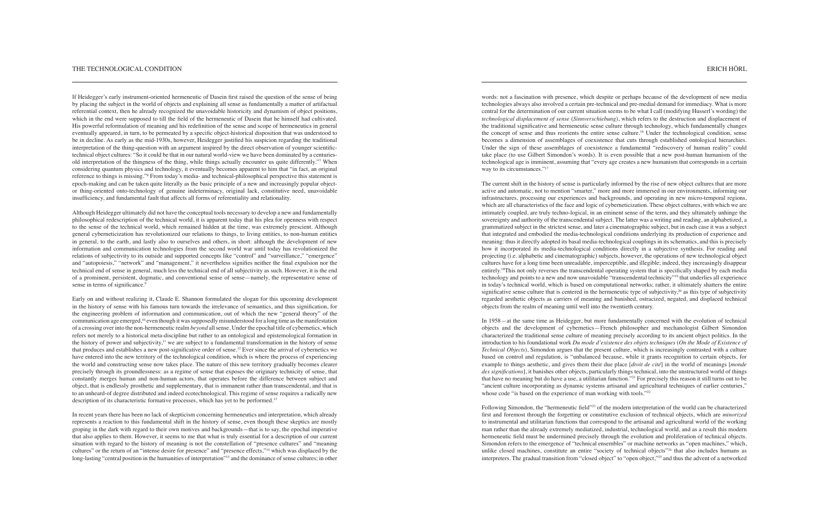words: not a fascination with presence, which despite or perhaps because of the development of new media technologies always also involved a certain pre-technical and pre-medial demand for immediacy. What is more central for the determination of our current situation seems to be what I call (modifying Husserl's wording) the *technological displacement of sense* (*Sinnverschiebung*), which refers to the destruction and displacement of the traditional significative and hermeneutic sense culture through technology, which fundamentally changes the concept of sense and thus reorients the entire sense culture.16 Under the technological condition, sense becomes a dimension of assemblages of coexistence that cuts through established ontological hierarchies. Under the sign of these assemblages of coexistence a fundamental "rediscovery of human reality" could take place (to use Gilbert Simondon's words). It is even possible that a new post-human humanism of the technological age is imminent, assuming that "every age creates a new humanism that corresponds in a certain way to its circumstances."<sup>17</sup>

In 1958—at the same time as Heidegger, but more fundamentally concerned with the evolution of technical objects and the development of cybernetics—French philosopher and mechanologist Gilbert Simondon characterized the traditional sense culture of meaning precisely according to its ancient object politics. In the introduction to his foundational work *Du mode d'existence des objets techniques* (*On the Mode of Existence of Technical Objects*), Simondon argues that the present culture, which is increasingly contrasted with a culture based on control and regulation, is "unbalanced because, while it grants recognition to certain objects, for example to things aesthetic, and gives them their due place [*droit de cité*] in the world of meanings [*monde des significations*], it banishes other objects, particularly things technical, into the unstructured world of things that have no meaning but do have a use, a utilitarian function."21 For precisely this reason it still turns out to be "ancient culture incorporating as dynamic systems artisanal and agricultural techniques of earlier centuries," whose code "is based on the experience of man working with tools."<sup>22</sup>

The current shift in the history of sense is particularly informed by the rise of new object cultures that are more active and automatic, not to mention "smarter," more and more immersed in our environments, informing our infrastructures, processing our experiences and backgrounds, and operating in new micro-temporal regions, which are all characteristics of the face and logic of cyberneticization. These object cultures, with which we are intimately coupled, are truly techno-logical, in an eminent sense of the term, and they ultimately unhinge the sovereignty and authority of the transcendental subject. The latter was a writing and reading, an alphabetized, a grammatized subject in the strictest sense, and later a cinematographic subject, but in each case it was a subject that integrated and embodied the media-technological conditions underlying its production of experience and meaning: thus it directly adopted its basal media-technological couplings in its schematics, and this is precisely how it incorporated its media-technological conditions directly in a subjective synthesis. For reading and projecting (i.e. alphabetic and cinematographic) subjects, however, the operations of new technological object cultures have for a long time been unreadable, imperceptible, and illegible; indeed, they increasingly disappear entirely.18This not only reverses the transcendental operating system that is specifically shaped by each media technology and points to a new and now unavoidable "transcendental technicity"19 that underlies all experience in today's technical world, which is based on computational networks; rather, it ultimately shatters the entire significative sense culture that is centered in the hermeneutic type of subjectivity, $20$  as this type of subjectivity regarded aesthetic objects as carriers of meaning and banished, ostracized, negated, and displaced technical objects from the realm of meaning until well into the twentieth century.

Although Heidegger ultimately did not have the conceptual tools necessary to develop a new and fundamentally philosophical redescription of the technical world, it is apparent today that his plea for openness with respect to the sense of the technical world, which remained hidden at the time, was extremely prescient. Although general cyberneticization has revolutionized our relations to things, to living entities, to non-human entities in general, to the earth, and lastly also to ourselves and others, in short: although the development of new information and communication technologies from the second world war until today has revolutionized the relations of subjectivity to its outside and supported concepts like "control" and "surveillance," "emergence" and "autopoiesis," "network" and "management," it nevertheless signifies neither the final expulsion nor the technical end of sense in general, much less the technical end of all subjectivity as such. However, it is the end of a prominent, persistent, dogmatic, and conventional sense of sense—namely, the representative sense of sense in terms of significance.<sup>9</sup>

Early on and without realizing it, Claude E. Shannon formulated the slogan for this upcoming development in the history of sense with his famous turn towards the irrelevance of semantics, and thus signification, for the engineering problem of information and communication, out of which the new "general theory" of the communication age emerged,10 even though it was supposedly misunderstood for a long time as the manifestation of a crossing over into the non-hermeneutic realm *beyond* all sense. Under the epochal title of cybernetics, which refers not merely to a historical meta-discipline but rather to an ontological and epistemological formation in the history of power and subjectivity,11 we are subject to a fundamental transformation in the history of sense that produces and establishes a new post-significative order of sense.12 Ever since the arrival of cybernetics we have entered into the new territory of the technological condition, which is where the process of experiencing the world and constructing sense now takes place. The nature of this new territory gradually becomes clearer precisely through its groundlessness: as a regime of sense that exposes the originary technicity of sense, that constantly merges human and non-human actors, that operates before the difference between subject and object, that is endlessly prosthetic and supplementary, that is immanent rather than transcendental, and that is to an unheard-of degree distributed and indeed ecotechnological. This regime of sense requires a radically new description of its characteristic formative processes, which has yet to be performed.<sup>13</sup>

> Following Simondon, the "hermeneutic field"23 of the modern interpretation of the world can be characterized first and foremost through the forgetting or constitutive exclusion of technical objects, which are *minorized* to instrumental and utilitarian functions that correspond to the artisanal and agricultural world of the working man rather than the already extremely mediatized, industrial, technological world, and as a result this modern hermeneutic field must be undermined precisely through the evolution and proliferation of technical objects. Simondon refers to the emergence of "technical ensembles" or machine networks as "open machines," which, unlike closed machines, constitute an entire "society of technical objects"24 that also includes humans as interpreters. The gradual transition from "closed object" to "open object,"25 and thus the advent of a networked

In recent years there has been no lack of skepticism concerning hermeneutics and interpretation, which already represents a reaction to this fundamental shift in the history of sense, even though these skeptics are mostly groping in the dark with regard to their own motives and backgrounds—that is to say, the epochal imperative that also applies to them. However, it seems to me that what is truly essential for a description of our current situation with regard to the history of meaning is not the constellation of "presence cultures" and "meaning cultures" or the return of an "intense desire for presence" and "presence effects,"14 which was displaced by the long-lasting "central position in the humanities of interpretation"<sup>15</sup> and the dominance of sense cultures; in other

If Heidegger's early instrument-oriented hermeneutic of Dasein first raised the question of the sense of being by placing the subject in the world of objects and explaining all sense as fundamentally a matter of artifactual referential context, then he already recognized the unavoidable historicity and dynamism of object positions, which in the end were supposed to till the field of the hermeneutic of Dasein that he himself had cultivated. His powerful reformulation of meaning and his redefinition of the sense and scope of hermeneutics in general eventually appeared, in turn, to be permeated by a specific object-historical disposition that was understood to be in decline. As early as the mid-1930s, however, Heidegger justified his suspicion regarding the traditional interpretation of the thing-question with an argument inspired by the direct observation of younger scientifictechnical object cultures: "So it could be that in our natural world-view we have been dominated by a centuriesold interpretation of the thingness of the thing, while things actually encounter us quite differently."<sup>7</sup> When considering quantum physics and technology, it eventually becomes apparent to him that "in fact, an original reference to things is missing."8 From today's media- and technical-philosophical perspective this statement is epoch-making and can be taken quite literally as the basic principle of a new and increasingly popular objector thing-oriented onto-technology of genuine indeterminacy, original lack, constitutive need, unavoidable insufficiency, and fundamental fault that affects all forms of referentiality and relationality.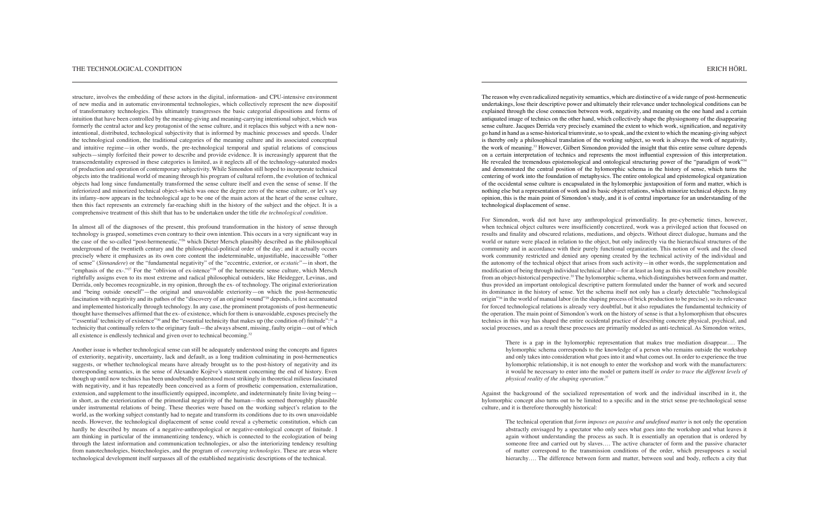The reason why even radicalized negativity semantics, which are distinctive of a wide range of post-hermeneutic undertakings, lose their descriptive power and ultimately their relevance under technological conditions can be explained through the close connection between work, negativity, and meaning on the one hand and a certain antiquated image of technics on the other hand, which collectively shape the physiognomy of the disappearing sense culture. Jacques Derrida very precisely examined the extent to which work, signification, and negativity go hand in hand as a sense-historical triumvirate, so to speak, and the extent to which the meaning-giving subject is thereby only a philosophical translation of the working subject, so work is always the work of negativity, the work of meaning.33 However, Gilbert Simondon provided the insight that this entire sense culture depends on a certain interpretation of technics and represents the most influential expression of this interpretation. He revealed the tremendous epistemological and ontological structuring power of the "paradigm of work"34 and demonstrated the central position of the hylomorphic schema in the history of sense, which turns the centering of work into the foundation of metaphysics. The entire ontological and epistemological organization of the occidental sense culture is encapsulated in the hylomorphic juxtaposition of form and matter, which is nothing else but a representation of work and its basic object relations, which minorize technical objects. In my opinion, this is the main point of Simondon's study, and it is of central importance for an understanding of the technological displacement of sense.

The technical operation that *form imposes on passive and undefined matter* is not only the operation abstractly envisaged by a spectator who only sees what goes into the workshop and what leaves it again without understanding the process as such. It is essentially an operation that is ordered by someone free and carried out by slaves…. The active character of form and the passive character of matter correspond to the transmission conditions of the order, which presupposes a social hierarchy.... The difference between form and matter, between soul and body, reflects a city that

For Simondon, work did not have any anthropological primordiality. In pre-cybernetic times, however, when technical object cultures were insufficiently concretized, work was a privileged action that focused on results and finality and obscured relations, mediations, and objects. Without direct dialogue, humans and the world or nature were placed in relation to the object, but only indirectly via the hierarchical structures of the community and in accordance with their purely functional organization. This notion of work and the closed work community restricted and denied any opening created by the technical activity of the individual and the autonomy of the technical object that arises from such activity—in other words, the supplementation and modification of being through individual technical labor—for at least as long as this was still somehow possible from an object-historical perspective.35 The hylomorphic schema, which distinguishes between form and matter, thus provided an important ontological descriptive pattern formulated under the banner of work and secured its dominance in the history of sense. Yet the schema itself not only has a clearly detectable "technological origin"36 in the world of manual labor (in the shaping process of brick production to be precise), so its relevance for forced technological relations is already very doubtful, but it also repudiates the fundamental technicity of the operation. The main point of Simondon's work on the history of sense is that a hylomorphism that obscures technics in this way has shaped the entire occidental practice of describing concrete physical, psychical, and social processes, and as a result these processes are primarily modeled as anti-technical. As Simondon writes,

In almost all of the diagnoses of the present, this profound transformation in the history of sense through technology is grasped, sometimes even contrary to their own intention. This occurs in a very significant way in the case of the so-called "post-hermeneutic,"26 which Dieter Mersch plausibly described as the philosophical underground of the twentieth century and the philosophical-political order of the day; and it actually occurs precisely where it emphasizes as its own core content the indeterminable, unjustifiable, inaccessible "other of sense" (*Sinnandere*) or the "fundamental negativity" of the "eccentric, exterior, or *ecstatic*"—in short, the "emphasis of the  $ex-$ ."<sup>27</sup> For the "oblivion of  $ex-$  istence"<sup>28</sup> of the hermeneutic sense culture, which Mersch rightfully assigns even to its most extreme and radical philosophical outsiders, like Heidegger, Levinas, and Derrida, only becomes recognizable, in my opinion, through the ex- of technology. The original exteriorization and "being outside oneself"—the original and unavoidable exteriority—on which the post-hermeneutic fascination with negativity and its pathos of the "discovery of an original wound"29 depends, is first accentuated and implemented historically through technology. In any case, the prominent protagonists of post-hermeneutic thought have themselves affirmed that the ex- of existence, which for them is unavoidable, exposes precisely the "'essential' technicity of existence"<sup>30</sup> and the "essential technicity that makes up (the condition of) finitude":<sup>31</sup> a technicity that continually refers to the originary fault—the always absent, missing, faulty origin—out of which all existence is endlessly technical and given over to technical becoming.<sup>32</sup>

> There is a gap in the hylomorphic representation that makes true mediation disappear…. The hylomorphic schema corresponds to the knowledge of a person who remains outside the workshop and only takes into consideration what goes into it and what comes out. In order to experience the true hylomorphic relationship, it is not enough to enter the workshop and work with the manufacturers: it would be necessary to enter into the model or pattern itself *in order to trace the different levels of physical reality of the shaping operation*. 37

Against the background of the socialized representation of work and the individual inscribed in it, the hylomorphic concept also turns out to be limited to a specific and in the strict sense pre-technological sense culture, and it is therefore thoroughly historical:

structure, involves the embedding of these actors in the digital, information- and CPU-intensive environment of new media and in automatic environmental technologies, which collectively represent the new dispositif of transformatory technologies. This ultimately transgresses the basic categorial dispositions and forms of intuition that have been controlled by the meaning-giving and meaning-carrying intentional subject, which was formerly the central actor and key protagonist of the sense culture, and it replaces this subject with a new nonintentional, distributed, technological subjectivity that is informed by machinic processes and speeds. Under the technological condition, the traditional categories of the meaning culture and its associated conceptual and intuitive regime—in other words, the pre-technological temporal and spatial relations of conscious subjects—simply forfeited their power to describe and provide evidence. It is increasingly apparent that the transcendentality expressed in these categories is limited, as it neglects all of the technology-saturated modes of production and operation of contemporary subjectivity. While Simondon still hoped to incorporate technical objects into the traditional world of meaning through his program of cultural reform, the evolution of technical objects had long since fundamentally transformed the sense culture itself and even the sense of sense. If the inferiorized and minorized technical object–which was once the degree zero of the sense culture, or let's say its infamy–now appears in the technological age to be one of the main actors at the heart of the sense culture, then this fact represents an extremely far-reaching shift in the history of the subject and the object. It is a comprehensive treatment of this shift that has to be undertaken under the title *the technological condition.*

Another issue is whether technological sense can still be adequately understood using the concepts and figures of exteriority, negativity, uncertainty, lack and default, as a long tradition culminating in post-hermeneutics suggests, or whether technological means have already brought us to the post-history of negativity and its corresponding semantics, in the sense of Alexandre Kojève's statement concerning the end of history. Even though up until now technics has been undoubtedly understood most strikingly in theoretical milieus fascinated with negativity, and it has repeatedly been conceived as a form of prosthetic compensation, externalization, extension, and supplement to the insufficiently equipped, incomplete, and indeterminately finite living being in short, as the exteriorization of the primordial negativity of the human—this seemed thoroughly plausible under instrumental relations of being. These theories were based on the working subject's relation to the world, as the working subject constantly had to negate and transform its conditions due to its own unavoidable needs. However, the technological displacement of sense could reveal a cybernetic constitution, which can hardly be described by means of a negative-anthropological or negative-ontological concept of finitude. I am thinking in particular of the immanentizing tendency, which is connected to the ecologization of being through the latest information and communication technologies, or also the interiorizing tendency resulting from nanotechnologies, biotechnologies, and the program of *converging technologies*. These are areas where technological development itself surpasses all of the established negativistic descriptions of the technical.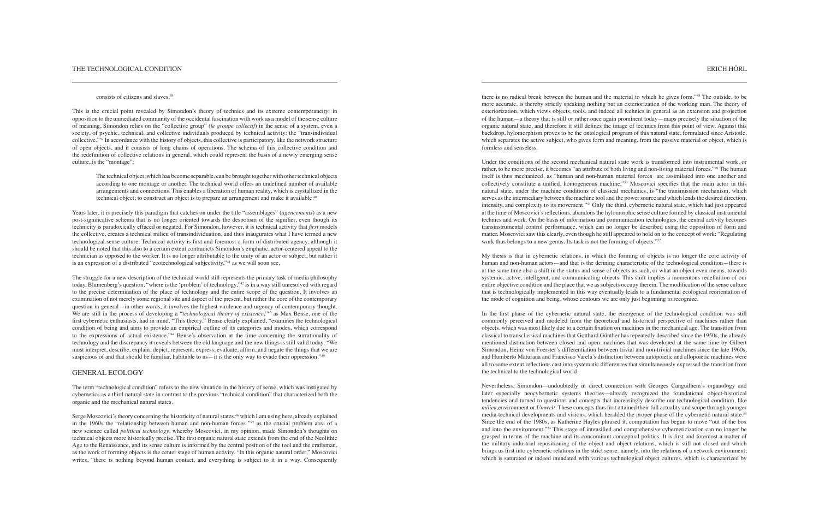#### consists of citizens and slaves.<sup>38</sup>

Under the conditions of the second mechanical natural state work is transformed into instrumental work, or rather, to be more precise, it becomes "an attribute of both living and non-living material forces."49 The human itself is thus mechanized, as "human and non-human material forces are assimilated into one another and collectively constitute a unified, homogeneous machine."<sup>50</sup> Moscovici specifies that the main actor in this natural state, under the machine conditions of classical mechanics, is "the transmission mechanism, which serves as the intermediary between the machine tool and the power source and which lends the desired direction, intensity, and complexity to its movement."51 Only the third, cybernetic natural state, which had just appeared at the time of Moscovici's reflections, abandons the hylomorphic sense culture formed by classical instrumental technics and work. On the basis of information and communication technologies, the central activity becomes transinstrumental control performance, which can no longer be described using the opposition of form and matter. Moscovici saw this clearly, even though he still appeared to hold on to the concept of work: "Regulating work thus belongs to a new genus. Its task is not the forming of objects."<sup>52</sup>

there is no radical break between the human and the material to which he gives form."48 The outside, to be more accurate, is thereby strictly speaking nothing but an exteriorization of the working man. The theory of exteriorization, which views objects, tools, and indeed all technics in general as an extension and projection of the human—a theory that is still or rather once again prominent today—maps precisely the situation of the organic natural state, and therefore it still defines the image of technics from this point of view. Against this backdrop, hylomorphism proves to be the ontological program of this natural state, formulated since Aristotle, which separates the active subject, who gives form and meaning, from the passive material or object, which is formless and senseless.

My thesis is that in cybernetic relations, in which the forming of objects is no longer the core activity of human and non-human actors—and that is the defining characteristic of the technological condition—there is at the same time also a shift in the status and sense of objects as such, or what an object even means, towards systemic, active, intelligent, and communicating objects. This shift implies a momentous redefinition of our entire objective condition and the place that we as subjects occupy therein. The modification of the sense culture that is technologically implemented in this way eventually leads to a fundamental ecological reorientation of the mode of cognition and being, whose contours we are only just beginning to recognize.

The technical object, which has become separable, can be brought together with other technical objects according to one montage or another. The technical world offers an undefined number of available arrangements and connections. This enables a liberation of human reality, which is crystallized in the technical object; to construct an object is to prepare an arrangement and make it available.<sup>40</sup>

> In the first phase of the cybernetic natural state, the emergence of the technological condition was still commonly perceived and modeled from the theoretical and historical perspective of machines rather than objects, which was most likely due to a certain fixation on machines in the mechanical age. The transition from classical to transclassical machines that Gotthard Günther has repeatedly described since the 1950s, the already mentioned distinction between closed and open machines that was developed at the same time by Gilbert Simondon, Heinz von Foerster's differentiation between trivial and non-trivial machines since the late 1960s, and Humberto Maturana and Francisco Varela's distinction between autopoietic and allopoietic machines were all to some extent reflections cast into systematic differences that simultaneously expressed the transition from the technical to the technological world.

Years later, it is precisely this paradigm that catches on under the title "assemblages" (*agencements*) as a new post-significative schema that is no longer oriented towards the despotism of the signifier, even though its technicity is paradoxically effaced or negated. For Simondon, however, it is technical activity that *first* models the collective, creates a technical milieu of transindividuation, and thus inaugurates what I have termed a new technological sense culture. Technical activity is first and foremost a form of distributed agency, although it should be noted that this also to a certain extent contradicts Simondon's emphatic, actor-centered appeal to the technician as opposed to the worker. It is no longer attributable to the unity of an actor or subject, but rather it is an expression of a distributed "ecotechnological subjectivity,"41 as we will soon see.

> Nevertheless, Simondon––undoubtedly in direct connection with Georges Canguilhem's organology and later especially neocybernetic systems theories––already recognized the foundational object-historical tendencies and turned to questions and concepts that increasingly describe our technological condition, like *milieu*,environment or *Umwelt*. These concepts thus first attained their full actuality and scope through younger media-technical developments and visions, which heralded the proper phase of the cybernetic natural state.53 Since the end of the 1980s, as Katherine Hayles phrased it, computation has begun to move "out of the box and into the environment."54 This stage of intensified and comprehensive cyberneticization can no longer be grasped in terms of the machine and its concomitant conceptual politics. It is first and foremost a matter of the military-industrial repositioning of the object and object relations, which is still not closed and which brings us first into cybernetic relations in the strict sense: namely, into the relations of a network environment, which is saturated or indeed inundated with various technological object cultures, which is characterized by

Serge Moscovici's theory concerning the historicity of natural states,<sup>46</sup> which I am using here, already explained in the 1960s the "relationship between human and non-human forces "47 as the crucial problem area of a new science called *political technology*, whereby Moscovici, in my opinion, made Simondon's thoughts on technical objects more historically precise. The first organic natural state extends from the end of the Neolithic Age to the Renaissance, and its sense culture is informed by the central position of the tool and the craftsman, as the work of forming objects is the center stage of human activity. "In this organic natural order," Moscovici writes, "there is nothing beyond human contact, and everything is subject to it in a way. Consequently

This is the crucial point revealed by Simondon's theory of technics and its extreme contemporaneity: in opposition to the unmediated community of the occidental fascination with work as a model of the sense culture of meaning, Simondon relies on the "collective group" (*le groupe collectif*) in the sense of a system, even a society, of psychic, technical, and collective individuals produced by technical activity: the "transindividual collective."39 In accordance with the history of objects, this collective is participatory, like the network structure of open objects, and it consists of long chains of operations. The schema of this collective condition and the redefinition of collective relations in general, which could represent the basis of a newly emerging sense culture, is the "montage":

The struggle for a new description of the technical world still represents the primary task of media philosophy today. Blumenberg's question, "where is the 'problem' of technology,"42 is in a way still unresolved with regard to the precise determination of the place of technology and the entire scope of the question. It involves an examination of not merely some regional site and aspect of the present, but rather the core of the contemporary question in general—in other words, it involves the highest virulence and urgency of contemporary thought. We are still in the process of developing a "*technological theory of existence*,"43 as Max Bense, one of the first cybernetic enthusiasts, had in mind. "This theory," Bense clearly explained, "examines the technological condition of being and aims to provide an empirical outline of its categories and modes, which correspond to the expressions of actual existence."44 Bense's observation at the time concerning the surrationality of technology and the discrepancy it reveals between the old language and the new things is still valid today: "We must interpret, describe, explain, depict, represent, express, evaluate, affirm, and negate the things that we are suspicious of and that should be familiar, habitable to us—it is the only way to evade their oppression."45

# GENERAL ECOLOGY

The term "technological condition" refers to the new situation in the history of sense, which was instigated by cybernetics as a third natural state in contrast to the previous "technical condition" that characterized both the organic and the mechanical natural states.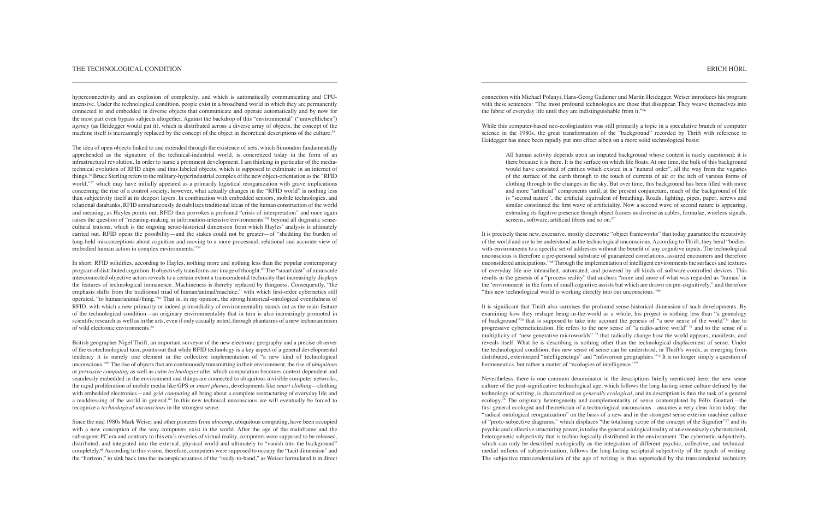connection with Michael Polanyi, Hans-Georg Gadamer und Martin Heidegger. Weiser introduces his program with these sentences: "The most profound technologies are those that disappear. They weave themselves into the fabric of everyday life until they are indistinguishable from it."66

All human activity depends upon an imputed background whose content is rarely questioned: it is there because it is there. It is the surface on which life floats. At one time, the bulk of this background would have consisted of entities which existed in a "natural order", all the way from the vagaries of the surface of the earth through to the touch of currents of air or the itch of various forms of clothing through to the changes in the sky. But over time, this background has been filled with more and more "artificial" components until, at the present conjuncture, much of the background of life is "second nature", the artificial equivalent of breathing. Roads, lighting, pipes, paper, screws and similar constituted the first wave of artificiality. Now a second wave of second nature is appearing, extending its fugitive presence though object frames as diverse as cables, formulae, wireless signals, screens, software, artificial fibres and so on.<sup>67</sup>

While this computer-based neo-ecologization was still primarily a topic in a speculative branch of computer science in the 1980s, the great transformation of the "background" recorded by Thrift with reference to Heidegger has since been rapidly put into effect albeit on a more solid technological basis:

It is precisely these new, excessive, mostly electronic "object frameworks" that today guarantee the recursivity of the world and are to be understood as the technological unconscious. According to Thrift, they bend "bodieswith-environments to a specific set of addresses without the benefit of any cognitive inputs. The technological unconscious is therefore a pre-personal substrate of guaranteed correlations, assured encounters and therefore unconsidered anticipations."68 Through the implementation of intelligent environments the surfaces and textures of everyday life are intensified, automated, and powered by all kinds of software-controlled devices. This results in the genesis of a "process reality" that anchors "more and more of what was regarded as 'human' in the 'environment' in the form of small cognitive assists but which are drawn on pre-cognitively," and therefore "this new technological world is working directly into our unconscious."<sup>69</sup>

It is significant that Thrift also surmises the profound sense-historical dimension of such developments. By examining how they reshape being-in-the-world as a whole, his project is nothing less than "a genealogy of background"70 that is supposed to take into account the genesis of "a new sense of the world"71 due to progressive cyberneticization. He refers to the new sense of "a radio-active world" 72 and to the sense of a multiplicity of "new generative microworlds" 73 that radically change how the world appears, manifests, and reveals itself. What he is describing is nothing other than the technological displacement of sense. Under the technological condition, this new sense of sense can be understood, in Thrift's words, as emerging from distributed, exteriorized "intelligencings" and "infovorous geographies."74 It is no longer simply a question of hermeneutics, but rather a matter of "ecologies of intelligence."75

The idea of open objects linked to and extended through the existence of nets, which Simondon fundamentally apprehended as the signature of the technical-industrial world, is concretized today in the form of an infrastructural revolution. In order to name a prominent development, I am thinking in particular of the mediatechnical evolution of RFID chips and thus labeled objects, which is supposed to culminate in an internet of things.56 Bruce Sterling refers to the military-hyperindustrial complex of the new object-orientation as the "RFID world,"<sup>57</sup> which may have initially appeared as a primarily logistical reorganization with grave implications concerning the rise of a control society; however, what actually changes in the "RFID world" is nothing less than subjectivity itself at its deepest layers. In combination with embedded sensors, mobile technologies, and relational databanks, RFID simultaneously destabilizes traditional ideas of the human construction of the world and meaning, as Hayles points out. RFID thus provokes a profound "crisis of interpretation" and once again raises the question of "meaning-making in information-intensive environments"<sup>58</sup> beyond all dogmatic sensecultural truisms, which is the ongoing sense-historical dimension from which Hayles' analysis is ultimately carried out. RFID opens the possibility—and the stakes could not be greater—of "shedding the burden of long-held misconceptions about cognition and moving to a more processual, relational and accurate view of embodied human action in complex environments."<sup>59</sup>

In short: RFID solidifies, according to Hayles, nothing more and nothing less than the popular contemporary program of distributed cognition. It objectively transforms our image of thought.60 The "smart dust" of minuscule interconnected objective actors reveals to a certain extent a transcendental technicity that increasingly displays the features of technological immanence. Machineness is thereby replaced by thingness. Consequently, "the emphasis shifts from the traditional triad of human/animal/machine," with which first-order cybernetics still operated, "to human/animal/thing."61 That is, in my opinion, the strong historical-ontological eventfulness of RFID, with which a new primarity or indeed primordiality of environmentality stands out as the main feature of the technological condition—an originary environmentality that in turn is also increasingly promoted in scientific research as well as in the arts, even if only casually noted, through phantasms of a new technoanimism of wild electronic environments.<sup>62</sup>

> Nevertheless, there is one common denominator in the descriptions briefly mentioned here: the new sense culture of the post-significative technological age, which follows the long-lasting sense culture defined by the technology of writing, is characterized as *generally ecological*, and its description is thus the task of a general ecology.76 The originary heterogeneity and complementarity of sense contemplated by Félix Guattari—the first general ecologist and theoretician of a technological unconscious—assumes a very clear form today: the "radical ontological reorganization" on the basis of a new and in the strongest sense exterior machine culture of "proto-subjective diagrams," which displaces "the totalising scope of the concept of the Signifier"77 and its psychic and collective structuring power, is today the general ecological reality of an extensively cyberneticized, heterogenetic subjectivity that is techno-logically distributed in the environment. The cybernetic subjectivity, which can only be described ecologically as the integration of different psychic, collective, and technicalmedial milieus of subjectivization, follows the long-lasting scriptural subjectivity of the epoch of writing. The subjective transcendentalism of the age of writing is thus superseded by the transcendental technicity

hyperconnectivity and an explosion of complexity, and which is automatically communicating and CPUintensive. Under the technological condition, people exist in a broadband world in which they are permanently connected to and embedded in diverse objects that communicate and operate automatically and by now for the most part even bypass subjects altogether. Against the backdrop of this "environmental" ("umweltlichen") *agency* (as Heidegger would put it), which is distributed across a diverse array of objects, the concept of the machine itself is increasingly replaced by the concept of the object in theoretical descriptions of the culture.55

British geographer Nigel Thrift, an important surveyor of the new electronic geography and a precise observer of the ecotechnological turn, points out that while RFID technology is a key aspect of a general developmental tendency it is merely one element in the collective implementation of "a new kind of technological unconscious."63 The rise of objects that are continuously transmitting in their environment, the rise of *ubiquitous* or *pervasive computing* as well as *calm technologies* after which computation becomes context dependent and seamlessly embedded in the environment and things are connected to ubiquitous invisible computer networks, the rapid proliferation of mobile media like GPS or *smart phones*, developments like *smart clothing*—clothing with embedded electronics—and *grid computing* all bring about a complete restructuring of everyday life and a readdressing of the world in general.64 In this new technical unconscious we will eventually be forced to recognize a *technological unconscious* in the strongest sense.

Since the mid 1980s Mark Weiser and other pioneers from *ubicomp*, ubiquitous computing, have been occupied with a new conception of the way computers exist in the world. After the age of the mainframe and the subsequent PC era and contrary to this era's reveries of virtual reality, computers were supposed to be released, distributed, and integrated into the external, physical world and ultimately to "vanish into the background" completely.65 According to this vision, therefore, computers were supposed to occupy the "tacit dimension" and the "horizon," to sink back into the inconspicuousness of the "ready-to-hand," as Weiser formulated it in direct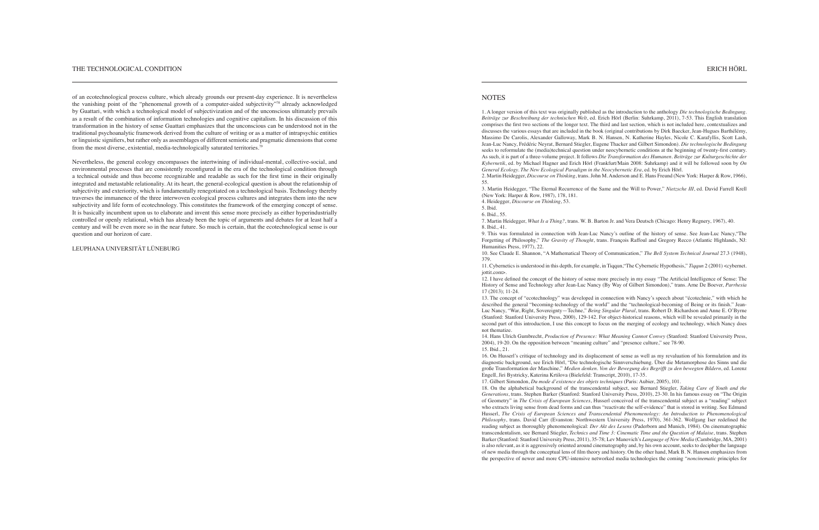1. A longer version of this text was originally published as the introduction to the anthology *Die technologische Bedingung. Beiträge zur Beschreibung der technischen Welt*, ed. Erich Hörl (Berlin: Suhrkamp, 2011), 7-53. This English translation comprises the first two sections of the longer text. The third and last section, which is not included here, contextualizes and discusses the various essays that are included in the book (original contributions by Dirk Baecker, Jean-Hugues Barthélémy, Massimo De Carolis, Alexander Galloway, Mark B. N. Hansen, N. Katherine Hayles, Nicole C. Karafyllis, Scott Lash, Jean-Luc Nancy, Frédéric Neyrat, Bernard Stiegler, Eugene Thacker and Gilbert Simondon). *Die technologische Bedingung*  seeks to reformulate the (media)technical question under neocybernetic conditions at the beginning of twenty-first century. As such, it is part of a three-volume project. It follows *Die Transformation des Humanen. Beiträge zur Kulturgeschichte der Kybernetik*, ed. by Michael Hagner and Erich Hörl (Frankfurt/Main 2008: Suhrkamp) and it will be followed soon by *On General Ecology. The New Ecological Paradigm in the Neocybernetic Era*, ed. by Erich Hörl. 2. Martin Heidegger, *Discourse on Thinking*, trans. John M. Anderson and E. Hans Freund (New York: Harper & Row, 1966), 55.

12. I have defined the concept of the history of sense more precisely in my essay "The Artificial Intelligence of Sense: The History of Sense and Technology after Jean-Luc Nancy (By Way of Gilbert Simondon)," trans. Arne De Boever, *Parrhesia*  $17(2013)$ ; 11-24

3. Martin Heidegger, "The Eternal Recurrence of the Same and the Will to Power," *Nietzsche III*, ed. David Farrell Krell (New York: Harper & Row, 1987), 178, 181.

- 4. Heidegger, *Discourse on Thinking*, 53.
- 5. Ibid.
- 6. Ibid., 55.
- 8. Ibid., 41.

7. Martin Heidegger, *What Is a Thing?*, trans. W. B. Barton Jr. and Vera Deutsch (Chicago: Henry Regnery, 1967), 40.

9. This was formulated in connection with Jean-Luc Nancy's outline of the history of sense. See Jean-Luc Nancy,"The Forgetting of Philosophy," *The Gravity of Thought*, trans. François Raffoul and Gregory Recco (Atlantic Highlands, NJ: Humanities Press, 1977), 22.

10. See Claude E. Shannon, "A Mathematical Theory of Communication," *The Bell System Technical Journal* 27.3 (1948), 379.

11. Cybernetics is understood in this depth, for example, in Tiqqun,"The Cybernetic Hypothesis," *Tiqqun* 2 (2001) <cybernet. jottit.com>.

#### THE TECHNOLOGICAL CONDITION

of an ecotechnological process culture, which already grounds our present-day experience. It is nevertheless the vanishing point of the "phenomenal growth of a computer-aided subjectivity"78 already acknowledged by Guattari, with which a technological model of subjectivization and of the unconscious ultimately prevails as a result of the combination of information technologies and cognitive capitalism. In his discussion of this transformation in the history of sense Guattari emphasizes that the unconscious can be understood not in the traditional psychoanalytic framework derived from the culture of writing or as a matter of intrapsychic entities or linguistic signifiers, but rather only as assemblages of different semiotic and pragmatic dimensions that come from the most diverse, existential, media-technologically saturated territories.<sup>79</sup>

> 13. The concept of "ecotechnology" was developed in connection with Nancy's speech about "écotechnie," with which he described the general "becoming-technology of the world" and the "technological-becoming of Being or its finish." Jean-Luc Nancy, "War, Right, Sovereignty—Techne," *Being Singular Plural*, trans. Robert D. Richardson and Anne E. O'Byrne (Stanford: Stanford University Press, 2000), 129-142. For object-historical reasons, which will be revealed primarily in the second part of this introduction, I use this concept to focus on the merging of ecology and technology, which Nancy does not thematize.

> 14. Hans Ulrich Gumbrecht, *Production of Presence: What Meaning Cannot Convey* (Stanford: Stanford University Press, 2004), 19-20. On the opposition between "meaning culture" and "presence culture," see 78-90. 15. Ibid., 21.

> 16. On Husserl's critique of technology and its displacement of sense as well as my revaluation of his formulation and its diagnostic background, see Erich Hörl, "Die technologische Sinnverschiebung. Über die Metamorphose des Sinns und die große Transformation der Maschine," *Medien denken. Von der Bewegung des Begrifft zu den bewegten Bildern*, ed. Lorenz EngelI, Jiri Bystricky, Katerina Krtilova (Bielefeld: Transcript, 2010), 17-35. 17. Gilbert Simondon, *Du mode d'existence des objets techniques* (Paris: Aubier, 2005), 101. 18. On the alphabetical background of the transcendental subject, see Bernard Stiegler, *Taking Care of Youth and the Generations*, trans. Stephen Barker (Stanford: Stanford University Press, 2010), 23-30. In his famous essay on "The Origin of Geometry" in *The Crisis of European Sciences*, Husserl conceived of the transcendental subject as a "reading" subject who extracts living sense from dead forms and can thus "reactivate the self-evidence" that is stored in writing. See Edmund Husserl, *The Crisis of European Sciences and Transcendental Phenomenology: An Introduction to Phenomenological Philosophy*, trans. David Carr (Evanston: Northwestern University Press, 1970), 361-362. Wolfgang Iser redefined the reading subject as thoroughly phenomenological: *Der Akt des Lesens* (Paderborn and Munich, 1984). On cinematographic transcendentalism, see Bernard Stiegler, *Technics and Time 3: Cinematic Time and the Question of Malaise*, trans. Stephen Barker (Stanford: Stanford University Press, 2011), 35-78; Lev Manovich's *Language of New Media* (Cambridge, MA, 2001) is also relevant, as it is aggressively oriented around cinematography and, by his own account, seeks to decipher the language of new media through the conceptual lens of film theory and history. On the other hand, Mark B. N. Hansen emphasizes from the perspective of newer and more CPU-intensive networked media technologies the coming "*noncinematic* principles for

Nevertheless, the general ecology encompasses the intertwining of individual-mental, collective-social, and environmental processes that are consistently reconfigured in the era of the technological condition through a technical outside and thus become recognizable and readable as such for the first time in their originally integrated and metastable relationality. At its heart, the general-ecological question is about the relationship of subjectivity and exteriority, which is fundamentally renegotiated on a technological basis. Technology thereby traverses the immanence of the three interwoven ecological process cultures and integrates them into the new subjectivity and life form of ecotechnology. This constitutes the framework of the emerging concept of sense. It is basically incumbent upon us to elaborate and invent this sense more precisely as either hyperindustrially controlled or openly relational, which has already been the topic of arguments and debates for at least half a century and will be even more so in the near future. So much is certain, that the ecotechnological sense is our question and our horizon of care.

LEUPHANA UNIVERSITÄT L ÜNEBURG

# **NOTES**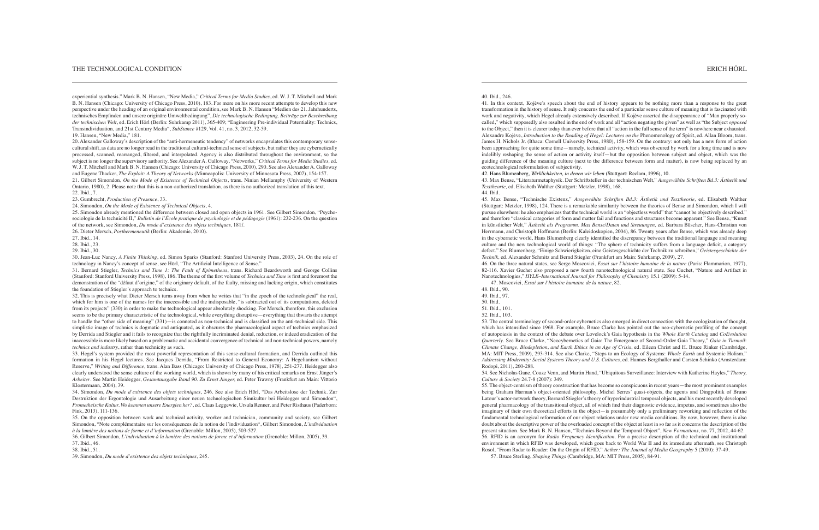### 40. Ibid., 246.

41. In this context, Kojève's speech about the end of history appears to be nothing more than a response to the great transformation in the history of sense. It only concerns the end of a particular sense culture of meaning that is fascinated with work and negativity, which Hegel already extensively described. If Kojève asserted the disappearance of "Man properly socalled," which supposedly also resulted in the end of work and all "action negating the given" as well as "the Subject *opposed* to the Object," then it is clearer today than ever before that all "action in the full sense of the term" is nowhere near exhausted. Alexandre Kojève, *Introduction to the Reading of Hegel: Lectures on the* Phenomenology of Spirit, ed. Allan Bloom, trans. James H. Nichols Jr. (Ithaca: Cornell University Press, 1980), 158-159. On the contrary: not only has a new form of action been approaching for quite some time—namely, technical activity, which was obscured by work for a long time and is now indelibly reshaping the sense of action or activity itself—but the opposition between subject and object, which was the guiding difference of the meaning culture (next to the difference between form and matter), is now being replaced by an ecotechnological reformulation of subjectivity.

42. Hans Blumenberg, *Wirklichkeiten, in denen wir leben* (Stuttgart: Reclam, 1996), 10. 43. Max Bense, "Literaturmetaphysik. Der Schriftsteller in der technischen Welt," *Ausgewählte Schriften Bd.3: Ästhetik und Texttheorie,* ed. Elisabeth Walther (Stuttgart: Metzler, 1998), 168. 44. Ibid.

45. Max Bense, "Technische Existenz," *Ausgewählte Schriften Bd.3: Ästhetik und Texttheorie,* ed. Elisabeth Walther (Stuttgart: Metzler, 1998), 124. There is a remarkable similarity between the theories of Bense and Simondon, which I will pursue elsewhere: he also emphasizes that the technical world is an "objectless world" that "cannot be objectively described," and therefore "classical categories of form and matter fail and functions and structures become apparent." See Bense, "Kunst in künstlicher Welt," *Ästhetik als Programm. Max Bense/Daten und Streuungen,* ed. Barbara Büscher, Hans-Christian von Herrmann, and Christoph Hoffmann (Berlin: Kaleidoskopien, 2004), 86. Twenty years after Bense, which was already deep in the cybernetic world, Hans Blumenberg clearly identified the discrepancy between the traditional language and meaning culture and the new technological world of things: "The sphere of technicity suffers from a language deficit, a category defect." See Blumenberg, "Einige Schwierigkeiten, eine Geistesgeschichte der Technik zu schreiben," *Geistesgeschichte der Technik,* ed. Alexander Schmitz and Bernd Stiegler (Frankfurt am Main: Suhrkamp, 2009), 27. 46. On the three natural states, see Serge Moscovici, *Essai sur l'histoire humaine de la nature* (Paris: Flammarion, 1977), 82-116. Xavier Guchet also proposed a new fourth nanotechnological natural state. See Guchet, "Nature and Artifact in Nanotechnologies," *HYLE–International Journal for Philosophy of Chemistry* 15.1 (2009): 5-14.

47. Moscovici, *Essai sur l'histoire humaine de la nature*, 82. 48. Ibid., 90.

- 49. Ibid., 97.
- 50. Ibid.
- 51. Ibid., 101.
- 52. Ibid., 103.

53. The central terminology of second-order cybernetics also emerged in direct connection with the ecologization of thought, which has intensified since 1968. For example, Bruce Clarke has pointed out the neo-cybernetic profiling of the concept of autopoiesis in the context of the debate over Lovelock's Gaia hypothesis in the *Whole Earth Catalog* and *CoEvolution Quarterly*. See Bruce Clarke, "Neocybernetics of Gaia: The Emergence of Second-Order Gaia Theory," *Gaia in Turmoil*: *Climate Change, Biodepletion, and Earth Ethics in an Age of Crisis*, ed. Eileen Christ and H. Bruce Rinker (Cambridge, MA: MIT Press, 2009), 293-314. See also Clarke, "Steps to an Ecology of Systems: *Whole Earth* and Systemic Holism," *Addressing Modernity: Social Systems Theory and U.S. Cultures*, ed. Hannes Bergthaller and Carsten Schinko (Amsterdam: Rodopi, 2011), 260-288.

54. See Nicholas Gane, Couze Venn, and Martin Hand, "Ubiquitous Surveillance: Interview with Katherine Hayles," *Theory, Culture & Society* 24.7-8 (2007): 349.

55. The object-centrism of theory construction that has become so conspicuous in recent years—the most prominent examples being Graham Harman's object-oriented philosophy, Michel Serres' quasi-objects, the agents and Dingpolitik of Bruno Latour's actor-network theory, Bernard Stiegler's theory of hyperindustrial temporal objects, and his most recently developed general pharmacology of the transitional object, all of which find their diagnostic evidence, impetus, and sometimes also the imaginary of their own theoretical efforts in the object—is presumably only a preliminary reworking and reflection of the fundamental technological reformation of our object relations under new media conditions. By now, however, there is also doubt about the descriptive power of the overloaded concept of the object at least in so far as it concerns the description of the present situation. See Mark B. N. Hansen, "Technics Beyond the Temporal Object", *New Formations*, no. 77, 2012, 44-62. 56. RFID is an acronym for *Radio Frequency ldentification.* For a precise description of the technical and institutional environment in which RFID was developed, which goes back to World War II and its immediate aftermath, see Christoph Rosol, "From Radar to Reader: On the Origin of RFID," *Aether: The Journal of Media Geography* 5 (2010): 37-49.

57. Bruce Sterling, *Shaping Things* (Cambridge, MA: MIT Press, 2005), 84-91.

experiential synthesis." Mark B. N. Hansen, "New Media," *Critical Terms for Media Studies*, ed. W. J. T. Mitchell and Mark B. N. Hansen (Chicago: University of Chicago Press, 2010), 183. For more on his more recent attempts to develop this new perspective under the heading of an original environmental condition, see Mark B. N. Hansen "Medien des 21. Jahrhunderts, technisches Empfinden und unsere originäre Umweltbedingung", *Die technologische Bedingung. Beiträge zur Beschreibung der technischen Welt*, ed. Erich Hörl (Berlin: Suhrkamp 2011), 365-409; "Engineering Pre-individual Potentiality: Technics, Transindividuation, and 21st Century Media", *SubStance* #129, Vol. 41, no. 3, 2012, 32-59.

#### 19. Hansen, "New Media," 181.

20. Alexander Galloway's description of the "anti-hermeneutic tendency" of networks encapsulates this contemporary sensecultural shift, as data are no longer read in the traditional cultural-technical sense of subjects, but rather they are cybernetically processed, scanned, rearranged, filtered, and interpolated. Agency is also distributed throughout the environment, so the subject is no longer the supervisory authority. See Alexander A. Galloway, "Networks," *Critical Terms for Media Studies,* ed. W. J. T. Mitchell and Mark B. N. Hansen (Chicago: University of Chicago Press, 2010), 290. See also Alexander A. Galloway and Eugene Thacker, *The Exploit: A Theory of Networks* (Minneapolis: University of Minnesota Press, 2007), 154-157. 21. Gilbert Simondon, *On the Mode of Existence of Technical Objects*, trans. Ninian Mellamphy (University of Western

Ontario, 1980), 2. Please note that this is a non-authorized translation, as there is no authorized translation of this text. 22. Ibid., 7. 23. Gumbrecht, *Production of Presence*, 33.

24. Simondon, *On the Mode of Existence of Technical Objects*, 4.

25. Simondon already mentioned the difference between closed and open objects in 1961. See Gilbert Simondon, "Psychosociologie de la technicité II," *Bulletin de l'École pratique de psychologie et de pédagogie* (1961): 232-236. On the question of the network, see Simondon, *Du mode d'existence des objets techniques,* 181f.

26. Dieter Mersch, *Posthermeneutik* (Berlin: Akademie, 2010).

27. Ibid., 14.

28. Ibid., 23.

29. Ibid., 30.

30. Jean-Luc Nancy, *A Finite Thinking*, ed. Simon Sparks (Stanford: Stanford University Press, 2003), 24. On the role of technology in Nancy's concept of sense, see Hörl, "The Artificial Intelligence of Sense."

31. Bernard Stiegler, *Technics and Time 1: The Fault of Epimetheus*, trans. Richard Beardsworth and George Collins (Stanford: Stanford University Press, 1998), 186. The theme of the first volume of *Technics and Time* is first and foremost the demonstration of the "défaut d'origine," of the originary default, of the faulty, missing and lacking origin, which constitutes the foundation of Stiegler's approach to technics.

32. This is precisely what Dieter Mersch turns away from when he writes that "in the epoch of the technological" the real, which for him is one of the names for the inaccessible and the indisposable, "is subtracted out of its computations, deleted from its projects" (330) in order to make the technological appear absolutely shocking. For Mersch, therefore, this exclusion seems to be the primary characteristic of the technological, while everything disruptive—everything that thwarts the attempt to handle the "other side of meaning" (331)—is connoted as non-technical and is classified on the anti-technical side. This simplistic image of technics is dogmatic and antiquated, as it obscures the pharmacological aspect of technics emphasized by Derrida and Stiegler and it fails to recognize that the rightfully incriminated denial, reduction, or indeed eradication of the inaccessible is more likely based on a problematic and accidental convergence of technical and non-technical powers, namely *technics and industry*, rather than technicity as such.

33. Hegel's system provided the most powerful representation of this sense-cultural formation, and Derrida outlined this formation in his Hegel lectures. See Jacques Derrida, "From Restricted to General Economy: A Hegelianism without Reserve," *Writing and Difference,* trans. Alan Bass (Chicago: University of Chicago Press, 1978), 251-277. Heidegger also clearly understood the sense culture of the working world, which is shown by many of his critical remarks on Ernst Jünger's *Arbeiter*. See Martin Heidegger, *Gesamtausgabe Band 90. Zu Ernst Jünger,* ed. Peter Trawny (Frankfurt am Main: Vittorio Klostermann, 2004), 39.

34. Simondon, *Du mode d'existence des objets techniques*, 246. See also Erich Hörl, "Das Arbeitslose der Technik. Zur Destruktion der Ergontologie und Ausarbeitung einer neuen technologischen Sinnkultur bei Heidegger und Simondon", *Prometheische Kultur. Wo kommen unsere Energien her?*, ed. Claus Leggewie, Ursula Renner, and Peter Risthaus (Paderborn: Fink, 2013), 111-136.

35. On the opposition between work and technical activity, worker and technician, community and society, see Gilbert Simondon, "Note complémentaire sur les conséquences de la notion de l'individuation", Gilbert Simondon, *L'individuation à la lumière des notions de forme et d'information* (Grenoble: Millon, 2005), 503-527.

36. Gilbert Simondon, *L'individuation à la lumière des notions de forme et d'information* (Grenoble: Millon, 2005), 39.

37. Ibid., 46.

38. Ibid., 51.

39. Simondon, *Du mode d'existence des objets techniques,* 245.